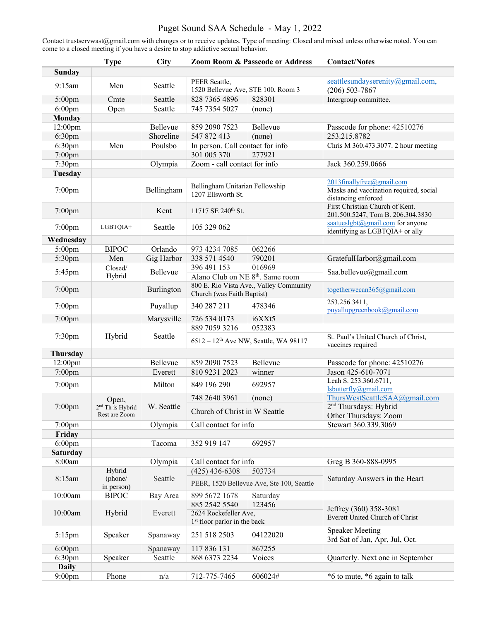# Puget Sound SAA Schedule - May 1, 2022

Contact trustservwast@gmail.com with changes or to receive updates. Type of meeting: Closed and mixed unless otherwise noted. You can come to a closed meeting if you have a desire to stop addictive sexual behavior.

|                    | <b>Type</b>                                            | <b>City</b> | <b>Zoom Room &amp; Passcode or Address</b>                            |                                           | <b>Contact/Notes</b>                                                                       |
|--------------------|--------------------------------------------------------|-------------|-----------------------------------------------------------------------|-------------------------------------------|--------------------------------------------------------------------------------------------|
| <b>Sunday</b>      |                                                        |             |                                                                       |                                           |                                                                                            |
| 9:15am             | Men                                                    | Seattle     | PEER Seattle,<br>1520 Bellevue Ave, STE 100, Room 3                   |                                           | seattlesundayserenity@gmail.com,<br>$(206) 503 - 7867$                                     |
| $5:00$ pm          | Cmte                                                   | Seattle     | 828 7365 4896                                                         | 828301                                    | Intergroup committee.                                                                      |
| $6:00$ pm          | Open                                                   | Seattle     | 745 7354 5027                                                         | (none)                                    |                                                                                            |
| Monday             |                                                        |             |                                                                       |                                           |                                                                                            |
| 12:00pm            |                                                        | Bellevue    | 859 2090 7523                                                         | Bellevue                                  | Passcode for phone: 42510276                                                               |
| 6:30pm             |                                                        | Shoreline   | 547 872 413                                                           | (none)                                    | 253.215.8782                                                                               |
| 6:30pm             | Men                                                    | Poulsbo     | In person. Call contact for info                                      |                                           | Chris M 360.473.3077. 2 hour meeting                                                       |
| 7:00pm             |                                                        |             | 301 005 370<br>277921                                                 |                                           |                                                                                            |
| 7:30pm             |                                                        | Olympia     | Zoom - call contact for info                                          |                                           | Jack 360.259.0666                                                                          |
| <b>Tuesday</b>     |                                                        |             |                                                                       |                                           |                                                                                            |
| $7:00$ pm          |                                                        | Bellingham  | Bellingham Unitarian Fellowship<br>1207 Ellsworth St.                 |                                           | 2013finallyfree@gmail.com<br>Masks and vaccination required, social<br>distancing enforced |
| $7:00$ pm          |                                                        | Kent        | 11717 SE 240 <sup>th</sup> St.                                        |                                           | First Christian Church of Kent.<br>201.500.5247, Tom B. 206.304.3830                       |
| $7:00$ pm          | LGBTQIA+                                               | Seattle     | 105 329 062                                                           |                                           | saatueslgbt@gmail.com for anyone<br>identifying as LGBTQIA+ or ally                        |
| Wednesday          |                                                        |             |                                                                       |                                           |                                                                                            |
| $5:00$ pm          | <b>BIPOC</b>                                           | Orlando     | 973 4234 7085                                                         | 062266                                    |                                                                                            |
| 5:30pm             | Men                                                    | Gig Harbor  | 338 571 4540                                                          | 790201                                    | GratefulHarbor@gmail.com                                                                   |
| 5:45pm             | Closed/<br>Hybrid                                      | Bellevue    | 396 491 153                                                           | 016969                                    | Saa.bellevue@gmail.com                                                                     |
|                    |                                                        |             | Alano Club on NE 8 <sup>th</sup> . Same room                          |                                           |                                                                                            |
| $7:00$ pm          |                                                        | Burlington  | 800 E. Rio Vista Ave., Valley Community<br>Church (was Faith Baptist) |                                           | togetherwecan365@gmail.com                                                                 |
| $7:00$ pm          |                                                        | Puyallup    | 340 287 211                                                           | 478346                                    | 253.256.3411,<br>puyallupgreenbook@gmail.com                                               |
| $7:00$ pm          |                                                        | Marysville  | 726 534 0173                                                          | i6XXt5                                    |                                                                                            |
|                    |                                                        |             | 889 7059 3216                                                         | 052383                                    |                                                                                            |
| 7:30pm             | Hybrid                                                 | Seattle     | 6512 - 12 <sup>th</sup> Ave NW, Seattle, WA 98117                     |                                           | St. Paul's United Church of Christ,<br>vaccines required                                   |
| Thursday           |                                                        |             |                                                                       |                                           |                                                                                            |
| 12:00pm            |                                                        | Bellevue    | 859 2090 7523                                                         | Bellevue                                  | Passcode for phone: 42510276                                                               |
| $7:00$ pm          |                                                        | Everett     | 810 9231 2023                                                         | winner                                    | Jason 425-610-7071                                                                         |
| $7:00$ pm          |                                                        | Milton      | 849 196 290                                                           | 692957                                    | Leah S. 253.360.6711,<br>lsbutterfly@gmail.com                                             |
| 7:00pm             | Open,<br>2 <sup>nd</sup> Th is Hybrid<br>Rest are Zoom | W. Seattle  | 748 2640 3961                                                         | (none)                                    | ThursWestSeattleSAA@gmail.com                                                              |
|                    |                                                        |             | Church of Christ in W Seattle                                         |                                           | 2 <sup>nd</sup> Thursdays: Hybrid<br>Other Thursdays: Zoom                                 |
| $7:00$ pm          |                                                        | Olympia     | Call contact for info                                                 |                                           | Stewart 360.339.3069                                                                       |
| Friday             |                                                        |             |                                                                       |                                           |                                                                                            |
| $6:00$ pm          |                                                        | Tacoma      | 352 919 147                                                           | 692957                                    |                                                                                            |
| <b>Saturday</b>    |                                                        |             |                                                                       |                                           |                                                                                            |
| 8:00am             |                                                        | Olympia     | Call contact for info                                                 |                                           | Greg B 360-888-0995                                                                        |
| 8:15am             | Hybrid<br>(phone/<br>in person)                        | Seattle     | $(425)$ 436-6308                                                      | 503734                                    |                                                                                            |
|                    |                                                        |             |                                                                       | PEER, 1520 Bellevue Ave, Ste 100, Seattle | Saturday Answers in the Heart                                                              |
| 10:00am            | <b>BIPOC</b>                                           | Bay Area    | 899 5672 1678                                                         | Saturday                                  |                                                                                            |
| 10:00am            | Hybrid                                                 | Everett     | 885 2542 5540                                                         | 123456                                    | Jeffrey (360) 358-3081                                                                     |
|                    |                                                        |             | 2624 Rockefeller Ave,<br>1 <sup>st</sup> floor parlor in the back     |                                           | Everett United Church of Christ                                                            |
| $5:15$ pm          | Speaker                                                | Spanaway    | 251 518 2503                                                          | 04122020                                  | Speaker Meeting -                                                                          |
|                    |                                                        |             |                                                                       |                                           | 3rd Sat of Jan, Apr, Jul, Oct.                                                             |
| $6:00$ pm          |                                                        | Spanaway    | 117 836 131                                                           | 867255                                    |                                                                                            |
| 6:30 <sub>pm</sub> | Speaker                                                | Seattle     | 868 6373 2234                                                         | Voices                                    | Quarterly. Next one in September                                                           |
| <b>Daily</b>       |                                                        |             |                                                                       |                                           |                                                                                            |
| $9:00$ pm          | Phone                                                  | n/a         | 712-775-7465                                                          | 606024#                                   | *6 to mute, *6 again to talk                                                               |